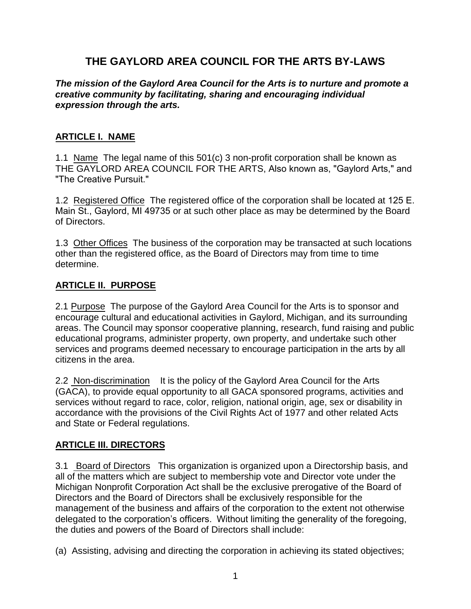# **THE GAYLORD AREA COUNCIL FOR THE ARTS BY-LAWS**

#### *The mission of the Gaylord Area Council for the Arts is to nurture and promote a creative community by facilitating, sharing and encouraging individual expression through the arts.*

#### **ARTICLE I. NAME**

1.1 Name The legal name of this 501(c) 3 non-profit corporation shall be known as THE GAYLORD AREA COUNCIL FOR THE ARTS, Also known as, "Gaylord Arts," and "The Creative Pursuit."

1.2 Registered Office The registered office of the corporation shall be located at 125 E. Main St., Gaylord, MI 49735 or at such other place as may be determined by the Board of Directors.

1.3 Other Offices The business of the corporation may be transacted at such locations other than the registered office, as the Board of Directors may from time to time determine.

### **ARTICLE II. PURPOSE**

2.1 Purpose The purpose of the Gaylord Area Council for the Arts is to sponsor and encourage cultural and educational activities in Gaylord, Michigan, and its surrounding areas. The Council may sponsor cooperative planning, research, fund raising and public educational programs, administer property, own property, and undertake such other services and programs deemed necessary to encourage participation in the arts by all citizens in the area.

2.2 Non-discrimination It is the policy of the Gaylord Area Council for the Arts (GACA), to provide equal opportunity to all GACA sponsored programs, activities and services without regard to race, color, religion, national origin, age, sex or disability in accordance with the provisions of the Civil Rights Act of 1977 and other related Acts and State or Federal regulations.

#### **ARTICLE III. DIRECTORS**

3.1 Board of Directors This organization is organized upon a Directorship basis, and all of the matters which are subject to membership vote and Director vote under the Michigan Nonprofit Corporation Act shall be the exclusive prerogative of the Board of Directors and the Board of Directors shall be exclusively responsible for the management of the business and affairs of the corporation to the extent not otherwise delegated to the corporation's officers. Without limiting the generality of the foregoing, the duties and powers of the Board of Directors shall include:

(a) Assisting, advising and directing the corporation in achieving its stated objectives;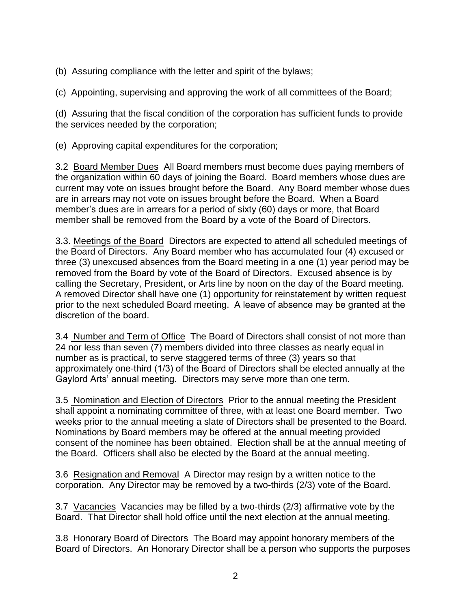(b) Assuring compliance with the letter and spirit of the bylaws;

(c) Appointing, supervising and approving the work of all committees of the Board;

(d) Assuring that the fiscal condition of the corporation has sufficient funds to provide the services needed by the corporation;

(e) Approving capital expenditures for the corporation;

3.2 Board Member Dues All Board members must become dues paying members of the organization within 60 days of joining the Board. Board members whose dues are current may vote on issues brought before the Board. Any Board member whose dues are in arrears may not vote on issues brought before the Board. When a Board member's dues are in arrears for a period of sixty (60) days or more, that Board member shall be removed from the Board by a vote of the Board of Directors.

3.3. Meetings of the Board Directors are expected to attend all scheduled meetings of the Board of Directors. Any Board member who has accumulated four (4) excused or three (3) unexcused absences from the Board meeting in a one (1) year period may be removed from the Board by vote of the Board of Directors. Excused absence is by calling the Secretary, President, or Arts line by noon on the day of the Board meeting. A removed Director shall have one (1) opportunity for reinstatement by written request prior to the next scheduled Board meeting. A leave of absence may be granted at the discretion of the board.

3.4 Number and Term of Office The Board of Directors shall consist of not more than 24 nor less than seven (7) members divided into three classes as nearly equal in number as is practical, to serve staggered terms of three (3) years so that approximately one-third (1/3) of the Board of Directors shall be elected annually at the Gaylord Arts' annual meeting. Directors may serve more than one term.

3.5 Nomination and Election of Directors Prior to the annual meeting the President shall appoint a nominating committee of three, with at least one Board member. Two weeks prior to the annual meeting a slate of Directors shall be presented to the Board. Nominations by Board members may be offered at the annual meeting provided consent of the nominee has been obtained. Election shall be at the annual meeting of the Board. Officers shall also be elected by the Board at the annual meeting.

3.6 Resignation and Removal A Director may resign by a written notice to the corporation. Any Director may be removed by a two-thirds (2/3) vote of the Board.

3.7 Vacancies Vacancies may be filled by a two-thirds (2/3) affirmative vote by the Board. That Director shall hold office until the next election at the annual meeting.

3.8 Honorary Board of Directors The Board may appoint honorary members of the Board of Directors. An Honorary Director shall be a person who supports the purposes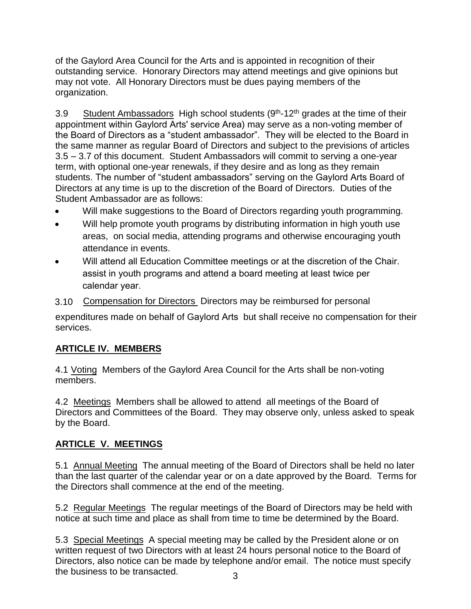of the Gaylord Area Council for the Arts and is appointed in recognition of their outstanding service. Honorary Directors may attend meetings and give opinions but may not vote. All Honorary Directors must be dues paying members of the organization.

3.9 Student Ambassadors High school students (9<sup>th</sup>-12<sup>th</sup> grades at the time of their appointment within Gaylord Arts' service Area) may serve as a non-voting member of the Board of Directors as a "student ambassador". They will be elected to the Board in the same manner as regular Board of Directors and subject to the previsions of articles 3.5 – 3.7 of this document. Student Ambassadors will commit to serving a one-year term, with optional one-year renewals, if they desire and as long as they remain students. The number of "student ambassadors" serving on the Gaylord Arts Board of Directors at any time is up to the discretion of the Board of Directors. Duties of the Student Ambassador are as follows:

- Will make suggestions to the Board of Directors regarding youth programming.
- Will help promote youth programs by distributing information in high youth use areas, on social media, attending programs and otherwise encouraging youth attendance in events.
- Will attend all Education Committee meetings or at the discretion of the Chair. assist in youth programs and attend a board meeting at least twice per calendar year.
- 3.10 Compensation for Directors Directors may be reimbursed for personal

expenditures made on behalf of Gaylord Arts but shall receive no compensation for their services.

# **ARTICLE IV. MEMBERS**

4.1 Voting Members of the Gaylord Area Council for the Arts shall be non-voting members.

4.2 Meetings Members shall be allowed to attend all meetings of the Board of Directors and Committees of the Board. They may observe only, unless asked to speak by the Board.

# **ARTICLE V. MEETINGS**

5.1 Annual Meeting The annual meeting of the Board of Directors shall be held no later than the last quarter of the calendar year or on a date approved by the Board. Terms for the Directors shall commence at the end of the meeting.

5.2 Regular Meetings The regular meetings of the Board of Directors may be held with notice at such time and place as shall from time to time be determined by the Board.

3 5.3 Special Meetings A special meeting may be called by the President alone or on written request of two Directors with at least 24 hours personal notice to the Board of Directors, also notice can be made by telephone and/or email. The notice must specify the business to be transacted.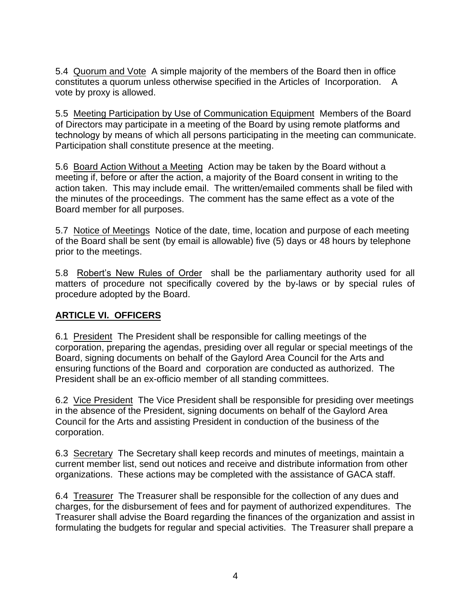5.4 Quorum and Vote A simple majority of the members of the Board then in office constitutes a quorum unless otherwise specified in the Articles of Incorporation. A vote by proxy is allowed.

5.5 Meeting Participation by Use of Communication Equipment Members of the Board of Directors may participate in a meeting of the Board by using remote platforms and technology by means of which all persons participating in the meeting can communicate. Participation shall constitute presence at the meeting.

5.6 Board Action Without a Meeting Action may be taken by the Board without a meeting if, before or after the action, a majority of the Board consent in writing to the action taken. This may include email. The written/emailed comments shall be filed with the minutes of the proceedings. The comment has the same effect as a vote of the Board member for all purposes.

5.7 Notice of Meetings Notice of the date, time, location and purpose of each meeting of the Board shall be sent (by email is allowable) five (5) days or 48 hours by telephone prior to the meetings.

5.8 Robert's New Rules of Order shall be the parliamentary authority used for all matters of procedure not specifically covered by the by-laws or by special rules of procedure adopted by the Board.

## **ARTICLE VI. OFFICERS**

6.1 President The President shall be responsible for calling meetings of the corporation, preparing the agendas, presiding over all regular or special meetings of the Board, signing documents on behalf of the Gaylord Area Council for the Arts and ensuring functions of the Board and corporation are conducted as authorized. The President shall be an ex-officio member of all standing committees.

6.2 Vice President The Vice President shall be responsible for presiding over meetings in the absence of the President, signing documents on behalf of the Gaylord Area Council for the Arts and assisting President in conduction of the business of the corporation.

6.3 Secretary The Secretary shall keep records and minutes of meetings, maintain a current member list, send out notices and receive and distribute information from other organizations. These actions may be completed with the assistance of GACA staff.

6.4 Treasurer The Treasurer shall be responsible for the collection of any dues and charges, for the disbursement of fees and for payment of authorized expenditures. The Treasurer shall advise the Board regarding the finances of the organization and assist in formulating the budgets for regular and special activities. The Treasurer shall prepare a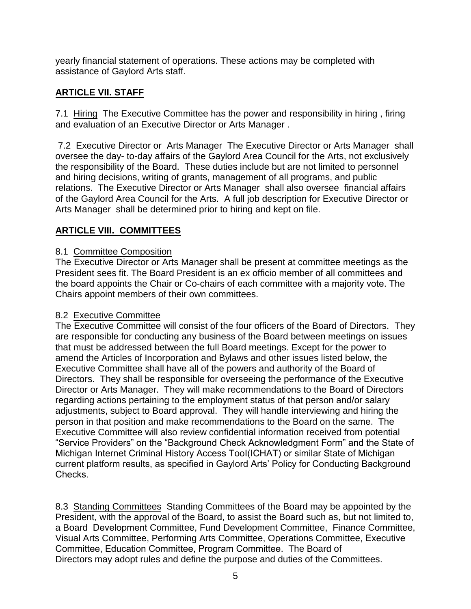yearly financial statement of operations. These actions may be completed with assistance of Gaylord Arts staff.

## **ARTICLE VII. STAFF**

7.1 Hiring The Executive Committee has the power and responsibility in hiring , firing and evaluation of an Executive Director or Arts Manager .

7.2 Executive Director or Arts Manager The Executive Director or Arts Manager shall oversee the day- to-day affairs of the Gaylord Area Council for the Arts, not exclusively the responsibility of the Board. These duties include but are not limited to personnel and hiring decisions, writing of grants, management of all programs, and public relations. The Executive Director or Arts Manager shall also oversee financial affairs of the Gaylord Area Council for the Arts. A full job description for Executive Director or Arts Manager shall be determined prior to hiring and kept on file.

## **ARTICLE VIII. COMMITTEES**

### 8.1 Committee Composition

The Executive Director or Arts Manager shall be present at committee meetings as the President sees fit. The Board President is an ex officio member of all committees and the board appoints the Chair or Co-chairs of each committee with a majority vote. The Chairs appoint members of their own committees.

## 8.2 Executive Committee

The Executive Committee will consist of the four officers of the Board of Directors. They are responsible for conducting any business of the Board between meetings on issues that must be addressed between the full Board meetings. Except for the power to amend the Articles of Incorporation and Bylaws and other issues listed below, the Executive Committee shall have all of the powers and authority of the Board of Directors. They shall be responsible for overseeing the performance of the Executive Director or Arts Manager. They will make recommendations to the Board of Directors regarding actions pertaining to the employment status of that person and/or salary adjustments, subject to Board approval. They will handle interviewing and hiring the person in that position and make recommendations to the Board on the same. The Executive Committee will also review confidential information received from potential "Service Providers" on the "Background Check Acknowledgment Form" and the State of Michigan Internet Criminal History Access TooI(ICHAT) or similar State of Michigan current platform results, as specified in Gaylord Arts' Policy for Conducting Background Checks.

8.3 Standing Committees Standing Committees of the Board may be appointed by the President, with the approval of the Board, to assist the Board such as, but not limited to, a Board Development Committee, Fund Development Committee, Finance Committee, Visual Arts Committee, Performing Arts Committee, Operations Committee, Executive Committee, Education Committee, Program Committee. The Board of Directors may adopt rules and define the purpose and duties of the Committees.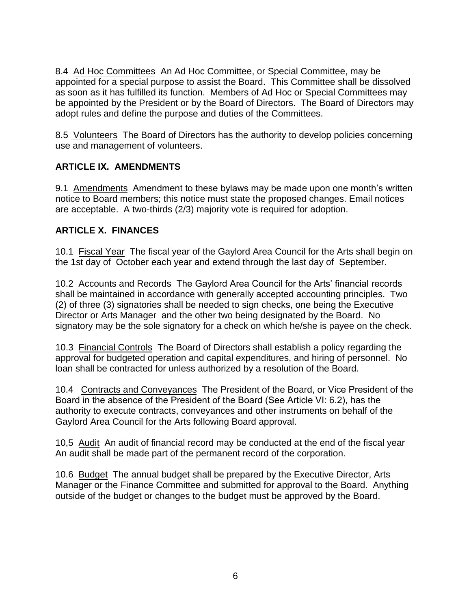8.4 Ad Hoc Committees An Ad Hoc Committee, or Special Committee, may be appointed for a special purpose to assist the Board. This Committee shall be dissolved as soon as it has fulfilled its function. Members of Ad Hoc or Special Committees may be appointed by the President or by the Board of Directors. The Board of Directors may adopt rules and define the purpose and duties of the Committees.

8.5 Volunteers The Board of Directors has the authority to develop policies concerning use and management of volunteers.

### **ARTICLE IX. AMENDMENTS**

9.1 Amendments Amendment to these bylaws may be made upon one month's written notice to Board members; this notice must state the proposed changes. Email notices are acceptable. A two-thirds (2/3) majority vote is required for adoption.

### **ARTICLE X. FINANCES**

10.1 Fiscal Year The fiscal year of the Gaylord Area Council for the Arts shall begin on the 1st day of October each year and extend through the last day of September.

10.2 Accounts and Records The Gaylord Area Council for the Arts' financial records shall be maintained in accordance with generally accepted accounting principles. Two (2) of three (3) signatories shall be needed to sign checks, one being the Executive Director or Arts Manager and the other two being designated by the Board. No signatory may be the sole signatory for a check on which he/she is payee on the check.

10.3 Financial Controls The Board of Directors shall establish a policy regarding the approval for budgeted operation and capital expenditures, and hiring of personnel. No loan shall be contracted for unless authorized by a resolution of the Board.

10.4 Contracts and Conveyances The President of the Board, or Vice President of the Board in the absence of the President of the Board (See Article VI: 6.2), has the authority to execute contracts, conveyances and other instruments on behalf of the Gaylord Area Council for the Arts following Board approval.

10,5 Audit An audit of financial record may be conducted at the end of the fiscal year An audit shall be made part of the permanent record of the corporation.

10.6 Budget The annual budget shall be prepared by the Executive Director, Arts Manager or the Finance Committee and submitted for approval to the Board. Anything outside of the budget or changes to the budget must be approved by the Board.